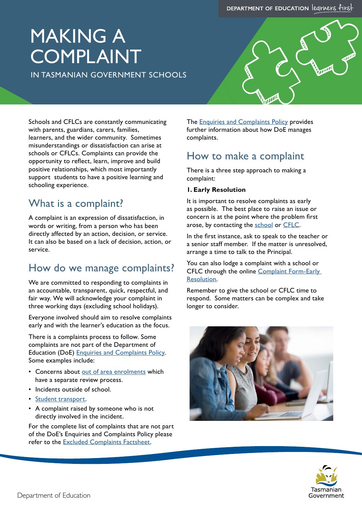# MAKING A COMPLAINT

IN TASMANIAN GOVERNMENT SCHOOLS



Schools and CFLCs are constantly communicating with parents, guardians, carers, families, learners, and the wider community. Sometimes misunderstandings or dissatisfaction can arise at schools or CFLCs. Complaints can provide the opportunity to reflect, learn, improve and build positive relationships, which most importantly support students to have a positive learning and schooling experience.

# What is a complaint?

A complaint is an expression of dissatisfaction, in words or writing, from a person who has been directly affected by an action, decision, or service. It can also be based on a lack of decision, action, or service.

# How do we manage complaints?

We are committed to responding to complaints in an accountable, transparent, quick, respectful, and fair way. We will acknowledge your complaint in three working days (excluding school holidays).

Everyone involved should aim to resolve complaints early and with the learner's education as the focus.

There is a complaints process to follow. Some complaints are not part of the Department of Education (DoE) [Enquiries and Complaints Policy](https://documentcentre.education.tas.gov.au/_layouts/15/DocIdRedir.aspx?ID=TASED-1060461114-3676). Some examples include:

- Concerns about [out of area enrolments](https://www.education.tas.gov.au/parents-carers/parent-fact-sheets/intake-areas-tasmanian-government-schools/) which have a separate review process.
- Incidents outside of school.
- [Student transport](https://www.transport.tas.gov.au/public_transport/student_travel).
- A complaint raised by someone who is not directly involved in the incident.

For the complete list of complaints that are not part of the DoE's Enquiries and Complaints Policy please refer to the [Excluded Complaints Factsheet.](https://documentcentre.education.tas.gov.au/_layouts/15/DocIdRedir.aspx?ID=TASED-1087178304-3886)

The **[Enquiries and Complaints Policy](https://documentcentre.education.tas.gov.au/_layouts/15/DocIdRedir.aspx?ID=TASED-1060461114-3676) provides** further information about how DoE manages complaints.

# How to make a complaint

There is a three step approach to making a complaint:

#### **1. Early Resolution**

It is important to resolve complaints as early as possible. The best place to raise an issue or concern is at the point where the problem first arose, by contacting the [school](https://www.education.tas.gov.au/about-us/school-directory/) or [CFLC](https://www.education.tas.gov.au/parents-carers/parent-fact-sheets/brochure-child-family-centre/).

In the first instance, ask to speak to the teacher or a senior staff member. If the matter is unresolved, arrange a time to talk to the Principal.

You can also lodge a complaint with a school or CFLC through the online Complaint Form-Early [Resolution.](https://forms.office.com/pages/responsepage.aspx?id=xzq-qWAMHkmLO6Mvj0auyH-vHDlefkJHlAf_deRP1d9UQkoyQzJZQzlYVEk1NUNUNEdKMzhQTUVFMyQlQCN0PWcu)

Remember to give the school or CFLC time to respond. Some matters can be complex and take longer to consider.